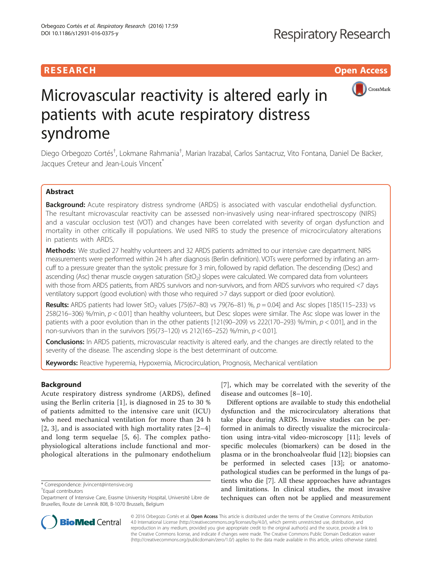## **RESEARCH CHILD CONTROL** CONTROL CONTROL CONTROL CONTROL CONTROL CONTROL CONTROL CONTROL CONTROL CONTROL CONTROL



# Microvascular reactivity is altered early in patients with acute respiratory distress syndrome

Diego Orbegozo Cortés<sup>†</sup>, Lokmane Rahmania<sup>†</sup>, Marian Irazabal, Carlos Santacruz, Vito Fontana, Daniel De Backer, Jacques Creteur and Jean-Louis Vincent<sup>®</sup>

## Abstract

Background: Acute respiratory distress syndrome (ARDS) is associated with vascular endothelial dysfunction. The resultant microvascular reactivity can be assessed non-invasively using near-infrared spectroscopy (NIRS) and a vascular occlusion test (VOT) and changes have been correlated with severity of organ dysfunction and mortality in other critically ill populations. We used NIRS to study the presence of microcirculatory alterations in patients with ARDS.

Methods: We studied 27 healthy volunteers and 32 ARDS patients admitted to our intensive care department. NIRS measurements were performed within 24 h after diagnosis (Berlin definition). VOTs were performed by inflating an armcuff to a pressure greater than the systolic pressure for 3 min, followed by rapid deflation. The descending (Desc) and ascending (Asc) thenar muscle oxygen saturation (StO<sub>2</sub>) slopes were calculated. We compared data from volunteers with those from ARDS patients, from ARDS survivors and non-survivors, and from ARDS survivors who required <7 days ventilatory support (good evolution) with those who required >7 days support or died (poor evolution).

Results: ARDS patients had lower StO<sub>2</sub> values [75(67–80) vs 79(76–81) %,  $p = 0.04$ ] and Asc slopes [185(115–233) vs 258(216–306) %/min, p < 0.01] than healthy volunteers, but Desc slopes were similar. The Asc slope was lower in the patients with a poor evolution than in the other patients [121(90–209) vs 222(170–293) %/min,  $p < 0.01$ ], and in the non-survivors than in the survivors  $[95(73-120)$  vs 212(165-252) %/min,  $p < 0.01$ ].

**Conclusions:** In ARDS patients, microvascular reactivity is altered early, and the changes are directly related to the severity of the disease. The ascending slope is the best determinant of outcome.

Keywords: Reactive hyperemia, Hypoxemia, Microcirculation, Prognosis, Mechanical ventilation

## Background

Acute respiratory distress syndrome (ARDS), defined using the Berlin criteria [[1\]](#page-5-0), is diagnosed in 25 to 30 % of patients admitted to the intensive care unit (ICU) who need mechanical ventilation for more than 24 h [[2](#page-5-0), [3\]](#page-5-0), and is associated with high mortality rates [[2](#page-5-0)–[4](#page-6-0)] and long term sequelae [[5](#page-6-0), [6\]](#page-6-0). The complex pathophysiological alterations include functional and morphological alterations in the pulmonary endothelium

\* Correspondence: [jlvincent@intensive.org](mailto:jlvincent@intensive.org) †

Equal contributors

[[7](#page-6-0)], which may be correlated with the severity of the disease and outcomes [\[8](#page-6-0)–[10\]](#page-6-0).

Different options are available to study this endothelial dysfunction and the microcirculatory alterations that take place during ARDS. Invasive studies can be performed in animals to directly visualize the microcirculation using intra-vital video-microscopy [\[11](#page-6-0)]; levels of specific molecules (biomarkers) can be dosed in the plasma or in the bronchoalveolar fluid [\[12\]](#page-6-0); biopsies can be performed in selected cases [[13\]](#page-6-0); or anatomopathological studies can be performed in the lungs of patients who die [[7\]](#page-6-0). All these approaches have advantages and limitations. In clinical studies, the most invasive techniques can often not be applied and measurement



© 2016 Orbegozo Cortés et al. Open Access This article is distributed under the terms of the Creative Commons Attribution 4.0 International License ([http://creativecommons.org/licenses/by/4.0/\)](http://creativecommons.org/licenses/by/4.0/), which permits unrestricted use, distribution, and reproduction in any medium, provided you give appropriate credit to the original author(s) and the source, provide a link to the Creative Commons license, and indicate if changes were made. The Creative Commons Public Domain Dedication waiver [\(http://creativecommons.org/publicdomain/zero/1.0/](http://creativecommons.org/publicdomain/zero/1.0/)) applies to the data made available in this article, unless otherwise stated.

Department of Intensive Care, Erasme University Hospital, Université Libre de Bruxelles, Route de Lennik 808, B-1070 Brussels, Belgium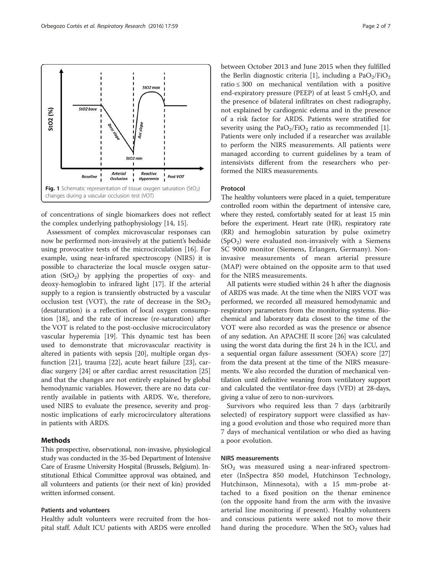<span id="page-1-0"></span>

of concentrations of single biomarkers does not reflect the complex underlying pathophysiology [\[14](#page-6-0), [15](#page-6-0)].

Assessment of complex microvascular responses can now be performed non-invasively at the patient's bedside using provocative tests of the microcirculation [[16\]](#page-6-0). For example, using near-infrared spectroscopy (NIRS) it is possible to characterize the local muscle oxygen saturation  $(StO<sub>2</sub>)$  by applying the properties of oxy- and deoxy-hemoglobin to infrared light [\[17](#page-6-0)]. If the arterial supply to a region is transiently obstructed by a vascular occlusion test (VOT), the rate of decrease in the  $StO<sub>2</sub>$ (desaturation) is a reflection of local oxygen consumption [[18\]](#page-6-0), and the rate of increase (re-saturation) after the VOT is related to the post-occlusive microcirculatory vascular hyperemia [[19\]](#page-6-0). This dynamic test has been used to demonstrate that microvascular reactivity is altered in patients with sepsis [\[20\]](#page-6-0), multiple organ dysfunction [\[21\]](#page-6-0), trauma [\[22](#page-6-0)], acute heart failure [[23](#page-6-0)], cardiac surgery [\[24](#page-6-0)] or after cardiac arrest resuscitation [[25](#page-6-0)] and that the changes are not entirely explained by global hemodynamic variables. However, there are no data currently available in patients with ARDS. We, therefore, used NIRS to evaluate the presence, severity and prognostic implications of early microcirculatory alterations in patients with ARDS.

#### Methods

This prospective, observational, non-invasive, physiological study was conducted in the 35-bed Department of Intensive Care of Erasme University Hospital (Brussels, Belgium). Institutional Ethical Committee approval was obtained, and all volunteers and patients (or their next of kin) provided written informed consent.

## Patients and volunteers

Healthy adult volunteers were recruited from the hospital staff. Adult ICU patients with ARDS were enrolled

between October 2013 and June 2015 when they fulfilled the Berlin diagnostic criteria [[1](#page-5-0)], including a  $PaO<sub>2</sub>/FiO<sub>2</sub>$ ratio ≤ 300 on mechanical ventilation with a positive end-expiratory pressure (PEEP) of at least 5 cmH<sub>2</sub>O, and the presence of bilateral infiltrates on chest radiography, not explained by cardiogenic edema and in the presence of a risk factor for ARDS. Patients were stratified for severity using the  $PaO<sub>2</sub>/FiO<sub>2</sub>$  ratio as recommended [\[1](#page-5-0)]. Patients were only included if a researcher was available to perform the NIRS measurements. All patients were managed according to current guidelines by a team of intensivists different from the researchers who performed the NIRS measurements.

### Protocol

The healthy volunteers were placed in a quiet, temperature controlled room within the department of intensive care, where they rested, comfortably seated for at least 15 min before the experiment. Heart rate (HR), respiratory rate (RR) and hemoglobin saturation by pulse oximetry  $(SpO<sub>2</sub>)$  were evaluated non-invasively with a Siemens SC 9000 monitor (Siemens, Erlangen, Germany). Noninvasive measurements of mean arterial pressure (MAP) were obtained on the opposite arm to that used for the NIRS measurements.

All patients were studied within 24 h after the diagnosis of ARDS was made. At the time when the NIRS VOT was performed, we recorded all measured hemodynamic and respiratory parameters from the monitoring systems. Biochemical and laboratory data closest to the time of the VOT were also recorded as was the presence or absence of any sedation. An APACHE II score [[26](#page-6-0)] was calculated using the worst data during the first 24 h in the ICU, and a sequential organ failure assessment (SOFA) score [[27](#page-6-0)] from the data present at the time of the NIRS measurements. We also recorded the duration of mechanical ventilation until definitive weaning from ventilatory support and calculated the ventilator-free days (VFD) at 28-days, giving a value of zero to non-survivors.

Survivors who required less than 7 days (arbitrarily selected) of respiratory support were classified as having a good evolution and those who required more than 7 days of mechanical ventilation or who died as having a poor evolution.

## NIRS measurements

 $StO<sub>2</sub>$  was measured using a near-infrared spectrometer (InSpectra 850 model, Hutchinson Technology, Hutchinson, Minnesota), with a 15 mm-probe attached to a fixed position on the thenar eminence (on the opposite hand from the arm with the invasive arterial line monitoring if present). Healthy volunteers and conscious patients were asked not to move their hand during the procedure. When the  $StO<sub>2</sub>$  values had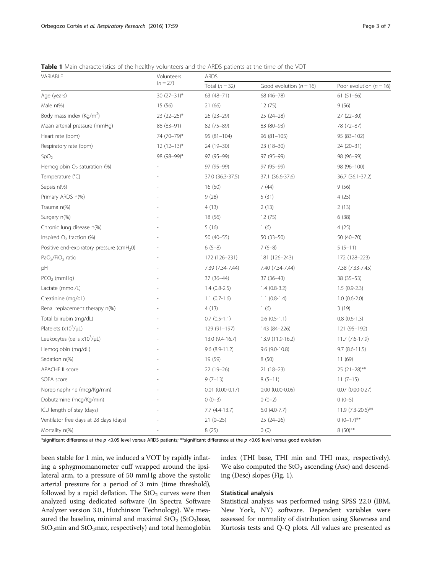<span id="page-2-0"></span>Table 1 Main characteristics of the healthy volunteers and the ARDS patients at the time of the VOT

| VARIABLE                                              | Volunteers<br>$(n = 27)$ | <b>ARDS</b>            |                             |                             |  |
|-------------------------------------------------------|--------------------------|------------------------|-----------------------------|-----------------------------|--|
|                                                       |                          | Total $(n = 32)$       | Good evolution ( $n = 16$ ) | Poor evolution ( $n = 16$ ) |  |
| Age (years)                                           | 30 $(27-31)^*$           | $63(48 - 71)$          | 68 (46-78)                  | $61(51-66)$                 |  |
| Male $n\frac{9}{6}$                                   | 15 (56)                  | 21 (66)                | 12(75)                      | 9(56)                       |  |
| Body mass index (Kg/m <sup>2</sup> )                  | $23(22-25)$ *            | $26(23-29)$            | 25 (24-28)                  | $27(22 - 30)$               |  |
| Mean arterial pressure (mmHg)                         | 88 (83-91)               | 82 (75-89)             | 83 (80-93)                  | 78 (72-87)                  |  |
| Heart rate (bpm)                                      | 74 (70-79)*              | $95(81 - 104)$         | $96(81-105)$                | 95 (83-102)                 |  |
| Respiratory rate (bpm)                                | $12(12-13)^{*}$          | 24 (19-30)             | 23 (18-30)                  | 24 (20-31)                  |  |
| SpO <sub>2</sub>                                      | 98 (98-99)*              | 97 (95-99)             | 97 (95-99)                  | 98 (96-99)                  |  |
| Hemoglobin $O2$ saturation (%)                        |                          | 97 (95-99)             | 97 (95-99)                  | 98 (96-100)                 |  |
| Temperature (°C)                                      |                          | 37.0 (36.3-37.5)       | 37.1 (36.6-37.6)            | 36.7 (36.1-37.2)            |  |
| Sepsis n(%)                                           |                          | 16 (50)                | 7(44)                       | 9(56)                       |  |
| Primary ARDS n(%)                                     |                          | 9(28)                  | 5(31)                       | 4(25)                       |  |
| Trauma n(%)                                           |                          | 4(13)                  | 2(13)                       | 2(13)                       |  |
| Surgery n(%)                                          |                          | 18 (56)                | 12(75)                      | 6(38)                       |  |
| Chronic lung disease n(%)                             |                          | 5(16)                  | 1(6)                        | 4(25)                       |  |
| Inspired $O2$ fraction (%)                            |                          | $50(40-55)$            | 50 (33-50)                  | $50(40 - 70)$               |  |
| Positive end-expiratory pressure (cmH <sub>2</sub> 0) |                          | $6(5-8)$               | $7(6-8)$                    | $5(5-11)$                   |  |
| PaO <sub>2</sub> /FiO <sub>2</sub> ratio              |                          | 172 (126-231)          | 181 (126-243)               | 172 (128-223)               |  |
| рH                                                    |                          | 7.39 (7.34-7.44)       | 7.40 (7.34-7.44)            | 7.38 (7.33-7.45)            |  |
| $PCO2$ (mmHg)                                         |                          | 37 (36-44)             | 37 (36-43)                  | $38(35 - 53)$               |  |
| Lactate (mmol/L)                                      |                          | $1.4(0.8-2.5)$         | $1.4(0.8-3.2)$              | $1.5(0.9-2.3)$              |  |
| Creatinine (mg/dL)                                    |                          | $1.1$ (0.7-1.6)        | $1.1$ (0.8-1.4)             | $1.0(0.6-2.0)$              |  |
| Renal replacement therapy n(%)                        |                          | 4(13)                  | 1(6)                        | 3(19)                       |  |
| Total bilirubin (mg/dL)                               |                          | $0.7(0.5-1.1)$         | $0.6(0.5-1.1)$              | $0.8(0.6-1.3)$              |  |
| Platelets $(x10^3/\mu L)$                             |                          | 129 (91-197)           | 143 (84-226)                | 121 (95-192)                |  |
| Leukocytes (cells $x10^3/\mu L$ )                     |                          | 13.0 (9.4-16.7)        | 13.9 (11.9-16.2)            | $11.7(7.6-17.9)$            |  |
| Hemoglobin (mg/dL)                                    |                          | $9.6$ $(8.9 - 11.2)$   | 9.6 (9.0-10.8)              | $9.7$ $(8.6 - 11.5)$        |  |
| Sedation n(%)                                         |                          | 19 (59)                | 8(50)                       | 11 (69)                     |  |
| APACHE II score                                       |                          | $22(19-26)$            | $21(18-23)$                 | $25(21-28)$ **              |  |
| SOFA score                                            |                          | $9(7-13)$              | $8(5-11)$                   | $11(7-15)$                  |  |
| Norepinephrine (mcg/Kg/min)                           |                          | $0.01$ $(0.00 - 0.17)$ | $0.00$ $(0.00 - 0.05)$      | $0.07(0.00-0.27)$           |  |
| Dobutamine (mcg/Kg/min)                               |                          | $0(0-3)$               | $0(0-2)$                    | $0(0-5)$                    |  |
| ICU length of stay (days)                             |                          | $7.7(4.4-13.7)$        | $6.0$ (4.0-7.7)             | 11.9 (7.3-20.6)**           |  |
| Ventilator free days at 28 days (days)                |                          | $21(0-25)$             | $25(24-26)$                 | $0 (0-17)$ **               |  |
| Mortality n(%)                                        |                          | 8(25)                  | 0(0)                        | $8(50)$ **                  |  |

\*significant difference at the  $p < 0.05$  level versus ARDS patients; \*\*significant difference at the  $p < 0.05$  level versus good evolution

been stable for 1 min, we induced a VOT by rapidly inflating a sphygmomanometer cuff wrapped around the ipsilateral arm, to a pressure of 50 mmHg above the systolic arterial pressure for a period of 3 min (time threshold), followed by a rapid deflation. The  $StO<sub>2</sub>$  curves were then analyzed using dedicated software (In Spectra Software Analyzer version 3.0., Hutchinson Technology). We measured the baseline, minimal and maximal  $StO<sub>2</sub>$  (StO<sub>2</sub>base,  $StO<sub>2</sub>min$  and  $StO<sub>2</sub>max$ , respectively) and total hemoglobin index (THI base, THI min and THI max, respectively). We also computed the  $StO<sub>2</sub>$  ascending (Asc) and descending (Desc) slopes (Fig. [1\)](#page-1-0).

## Statistical analysis

Statistical analysis was performed using SPSS 22.0 (IBM, New York, NY) software. Dependent variables were assessed for normality of distribution using Skewness and Kurtosis tests and Q-Q plots. All values are presented as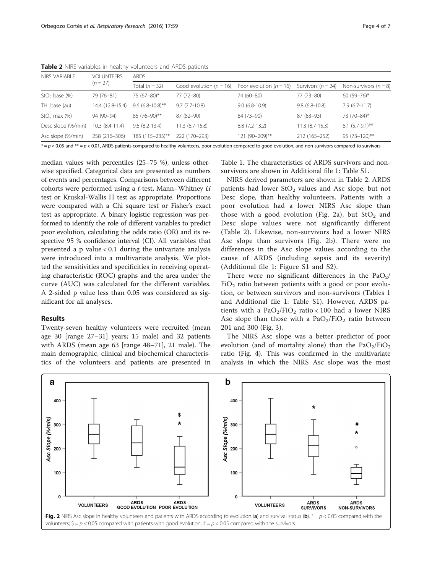| NIRS VARIABLE      | <b>VOLUNTEERS</b><br>$(n = 27)$ | <b>ARDS</b>        |                           |                             |                        |                         |  |  |
|--------------------|---------------------------------|--------------------|---------------------------|-----------------------------|------------------------|-------------------------|--|--|
|                    |                                 | Total $(n = 32)$   | Good evolution $(n = 16)$ | Poor evolution ( $n = 16$ ) | Survivors ( $n = 24$ ) | Non-survivors $(n = 8)$ |  |  |
| $StO2$ base (%)    | 79 (76-81)                      | 75 (67-80)*        | 77 (72-80)                | 74 (60-80)                  | 77 (73-80)             | $60(59 - 76)$ *         |  |  |
| THI base (au)      | 14.4 (12.8-15.4)                | $9.6$ (6.8-10.8)** | $9.7(7.7-10.8)$           | $9.0(6.8-10.9)$             | $9.8(6.8-10.8)$        | $7.9(6.7-11.7)$         |  |  |
| $StO2$ max $(\%)$  | 94 (90-94)                      | 85 (76-90)**       | 87 (82-90)                | 84 (73-90)                  | 87 (83-93)             | 73 (70-84)*             |  |  |
| Desc slope (%/min) | $10.3(8.4-11.4)$                | $9.6(8.2-13.4)$    | $11.3(8.7-15.8)$          | $8.8(7.2-13.2)$             | $11.3(8.7-15.3)$       | $8.1 (5.7 - 9.1)^{**}$  |  |  |
| Asc slope (%/min)  | 258 (216-306)                   | 185 (115-233)**    | 222 (170-293)             | 121 (90-209)**              | 212 (165-252)          | $95(73 - 120)$ **       |  |  |

Table 2 NIRS variables in healthy volunteers and ARDS patients

 $* = p < 0.05$  and  $** = p < 0.01$ , ARDS patients compared to healthy volunteers, poor evolution compared to good evolution, and non-survivors compared to survivors

median values with percentiles (25–75 %), unless otherwise specified. Categorical data are presented as numbers of events and percentages. Comparisons between different cohorts were performed using a t-test, Mann–Whitney U test or Kruskal-Wallis H test as appropriate. Proportions were compared with a Chi square test or Fisher's exact test as appropriate. A binary logistic regression was performed to identify the role of different variables to predict poor evolution, calculating the odds ratio (OR) and its respective 95 % confidence interval (CI). All variables that presented a p value  $< 0.1$  during the univariate analysis were introduced into a multivariate analysis. We plotted the sensitivities and specificities in receiving operating characteristic (ROC) graphs and the area under the curve (AUC) was calculated for the different variables. A 2-sided p value less than 0.05 was considered as significant for all analyses.

#### Results

Twenty-seven healthy volunteers were recruited (mean age 30 [range 27–31] years; 15 male) and 32 patients with ARDS (mean age 63 [range 48–71], 21 male). The main demographic, clinical and biochemical characteristics of the volunteers and patients are presented in

Table [1.](#page-2-0) The characteristics of ARDS survivors and nonsurvivors are shown in Additional file [1:](#page-5-0) Table S1.

NIRS derived parameters are shown in Table 2. ARDS patients had lower  $StO<sub>2</sub>$  values and Asc slope, but not Desc slope, than healthy volunteers. Patients with a poor evolution had a lower NIRS Asc slope than those with a good evolution (Fig. 2a), but  $StO<sub>2</sub>$  and Desc slope values were not significantly different (Table 2). Likewise, non-survivors had a lower NIRS Asc slope than survivors (Fig. 2b). There were no differences in the Asc slope values according to the cause of ARDS (including sepsis and its severity) (Additional file [1](#page-5-0): Figure S1 and S2).

There were no significant differences in the  $PaO<sub>2</sub>/$  $FiO<sub>2</sub>$  ratio between patients with a good or poor evolution, or between survivors and non-survivors (Tables [1](#page-2-0) and Additional file [1](#page-5-0): Table S1). However, ARDS patients with a  $PaO<sub>2</sub>/FiO<sub>2</sub>$  ratio < 100 had a lower NIRS Asc slope than those with a  $PaO<sub>2</sub>/FiO<sub>2</sub>$  ratio between 201 and 300 (Fig. [3\)](#page-4-0).

The NIRS Asc slope was a better predictor of poor evolution (and of mortality alone) than the  $PaO<sub>2</sub>/FiO<sub>2</sub>$ ratio (Fig. [4\)](#page-4-0). This was confirmed in the multivariate analysis in which the NIRS Asc slope was the most

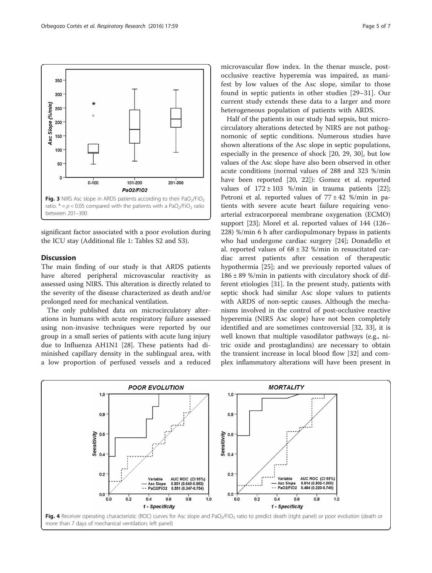<span id="page-4-0"></span>

significant factor associated with a poor evolution during the ICU stay (Additional file [1:](#page-5-0) Tables S2 and S3).

## **Discussion**

The main finding of our study is that ARDS patients have altered peripheral microvascular reactivity as assessed using NIRS. This alteration is directly related to the severity of the disease characterized as death and/or prolonged need for mechanical ventilation.

The only published data on microcirculatory alterations in humans with acute respiratory failure assessed using non-invasive techniques were reported by our group in a small series of patients with acute lung injury due to Influenza AH1N1 [\[28](#page-6-0)]. These patients had diminished capillary density in the sublingual area, with a low proportion of perfused vessels and a reduced

microvascular flow index. In the thenar muscle, postocclusive reactive hyperemia was impaired, as manifest by low values of the Asc slope, similar to those found in septic patients in other studies [[29](#page-6-0)–[31](#page-6-0)]. Our current study extends these data to a larger and more heterogeneous population of patients with ARDS.

Half of the patients in our study had sepsis, but microcirculatory alterations detected by NIRS are not pathognomonic of septic conditions. Numerous studies have shown alterations of the Asc slope in septic populations, especially in the presence of shock [[20, 29](#page-6-0), [30\]](#page-6-0), but low values of the Asc slope have also been observed in other acute conditions (normal values of 288 and 323 %/min have been reported [\[20, 22\]](#page-6-0)): Gomez et al. reported values of  $172 \pm 103$  %/min in trauma patients [\[22](#page-6-0)]; Petroni et al. reported values of  $77 \pm 42$  %/min in patients with severe acute heart failure requiring venoarterial extracorporeal membrane oxygenation (ECMO) support [\[23](#page-6-0)]; Morel et al. reported values of 144 (126– 228) %/min 6 h after cardiopulmonary bypass in patients who had undergone cardiac surgery [\[24\]](#page-6-0); Donadello et al. reported values of  $68 \pm 32$  %/min in resuscitated cardiac arrest patients after cessation of therapeutic hypothermia [[25](#page-6-0)]; and we previously reported values of  $186 \pm 89$  %/min in patients with circulatory shock of different etiologies [[31\]](#page-6-0). In the present study, patients with septic shock had similar Asc slope values to patients with ARDS of non-septic causes. Although the mechanisms involved in the control of post-occlusive reactive hyperemia (NIRS Asc slope) have not been completely identified and are sometimes controversial [\[32](#page-6-0), [33\]](#page-6-0), it is well known that multiple vasodilator pathways (e.g., nitric oxide and prostaglandins) are necessary to obtain the transient increase in local blood flow [\[32](#page-6-0)] and complex inflammatory alterations will have been present in



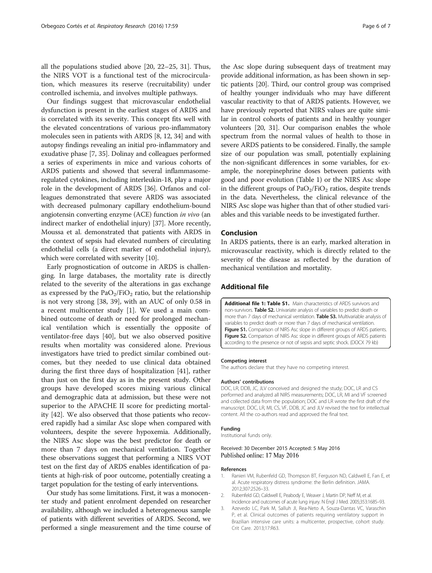<span id="page-5-0"></span>all the populations studied above [[20](#page-6-0), [22](#page-6-0)–[25, 31](#page-6-0)]. Thus, the NIRS VOT is a functional test of the microcirculation, which measures its reserve (recruitability) under controlled ischemia, and involves multiple pathways.

Our findings suggest that microvascular endothelial dysfunction is present in the earliest stages of ARDS and is correlated with its severity. This concept fits well with the elevated concentrations of various pro-inflammatory molecules seen in patients with ARDS [[8, 12](#page-6-0), [34\]](#page-6-0) and with autopsy findings revealing an initial pro-inflammatory and exudative phase [\[7](#page-6-0), [35\]](#page-6-0). Dolinay and colleagues performed a series of experiments in mice and various cohorts of ARDS patients and showed that several inflammasomeregulated cytokines, including interleukin-18, play a major role in the development of ARDS [\[36\]](#page-6-0). Orfanos and colleagues demonstrated that severe ARDS was associated with decreased pulmonary capillary endothelium-bound angiotensin converting enzyme (ACE) function in vivo (an indirect marker of endothelial injury) [[37](#page-6-0)]. More recently, Moussa et al. demonstrated that patients with ARDS in the context of sepsis had elevated numbers of circulating endothelial cells (a direct marker of endothelial injury), which were correlated with severity [\[10\]](#page-6-0).

Early prognostication of outcome in ARDS is challenging. In large databases, the mortality rate is directly related to the severity of the alterations in gas exchange as expressed by the  $PaO<sub>2</sub>/FiO<sub>2</sub>$  ratio, but the relationship is not very strong [[38, 39](#page-6-0)], with an AUC of only 0.58 in a recent multicenter study [1]. We used a main combined outcome of death or need for prolonged mechanical ventilation which is essentially the opposite of ventilator-free days [\[40](#page-6-0)], but we also observed positive results when mortality was considered alone. Previous investigators have tried to predict similar combined outcomes, but they needed to use clinical data obtained during the first three days of hospitalization [\[41](#page-6-0)], rather than just on the first day as in the present study. Other groups have developed scores mixing various clinical and demographic data at admission, but these were not superior to the APACHE II score for predicting mortality [\[42](#page-6-0)]. We also observed that those patients who recovered rapidly had a similar Asc slope when compared with volunteers, despite the severe hypoxemia. Additionally, the NIRS Asc slope was the best predictor for death or more than 7 days on mechanical ventilation. Together these observations suggest that performing a NIRS VOT test on the first day of ARDS enables identification of patients at high-risk of poor outcome, potentially creating a target population for the testing of early interventions.

Our study has some limitations. First, it was a monocenter study and patient enrolment depended on researcher availability, although we included a heterogeneous sample of patients with different severities of ARDS. Second, we performed a single measurement and the time course of

the Asc slope during subsequent days of treatment may provide additional information, as has been shown in septic patients [[20](#page-6-0)]. Third, our control group was comprised of healthy younger individuals who may have different vascular reactivity to that of ARDS patients. However, we have previously reported that NIRS values are quite similar in control cohorts of patients and in healthy younger volunteers [\[20, 31](#page-6-0)]. Our comparison enables the whole spectrum from the normal values of health to those in severe ARDS patients to be considered. Finally, the sample size of our population was small, potentially explaining the non-significant differences in some variables, for example, the norepinephrine doses between patients with good and poor evolution (Table [1](#page-2-0)) or the NIRS Asc slope in the different groups of  $PaO<sub>2</sub>/FiO<sub>2</sub>$  ratios, despite trends in the data. Nevertheless, the clinical relevance of the NIRS Asc slope was higher than that of other studied variables and this variable needs to be investigated further.

#### Conclusion

In ARDS patients, there is an early, marked alteration in microvascular reactivity, which is directly related to the severity of the disease as reflected by the duration of mechanical ventilation and mortality.

#### Additional file

[Additional file 1: Table S1.](dx.doi.org/10.1186/s12931-016-0375-y) Main characteristics of ARDS survivors and non-survivors. Table S2. Univariate analysis of variables to predict death or more than 7 days of mechanical ventilation. Table S3. Multivariable analysis of variables to predict death or more than 7 days of mechanical ventilation. Figure S1. Comparison of NIRS Asc slope in different groups of ARDS patients. Figure S2. Comparison of NIRS Asc slope in different groups of ARDS patients according to the presence or not of sepsis and septic shock. (DOCX 79 kb)

#### Competing interest

The authors declare that they have no competing interest.

#### Authors' contributions

DOC, LR, DDB, JC, JLV conceived and designed the study; DOC, LR and CS performed and analyzed all NIRS measurements; DOC, LR, MI and VF screened and collected data from the population; DOC and LR wrote the first draft of the manuscript. DOC, LR, MI, CS, VF, DDB, JC and JLV revised the text for intellectual content. All the co-authors read and approved the final text.

#### Funding

Institutional funds only.

#### Received: 30 December 2015 Accepted: 5 May 2016 Published online: 17 May 2016

#### References

- 1. Ranieri VM, Rubenfeld GD, Thompson BT, Ferguson ND, Caldwell E, Fan E, et al. Acute respiratory distress syndrome: the Berlin definition. JAMA. 2012;307:2526–33.
- 2. Rubenfeld GD, Caldwell E, Peabody E, Weaver J, Martin DP, Neff M, et al. Incidence and outcomes of acute lung injury. N Engl J Med. 2005;353:1685–93.
- 3. Azevedo LC, Park M, Salluh JI, Rea-Neto A, Souza-Dantas VC, Varaschin P, et al. Clinical outcomes of patients requiring ventilatory support in Brazilian intensive care units: a multicenter, prospective, cohort study. Crit Care. 2013;17:R63.